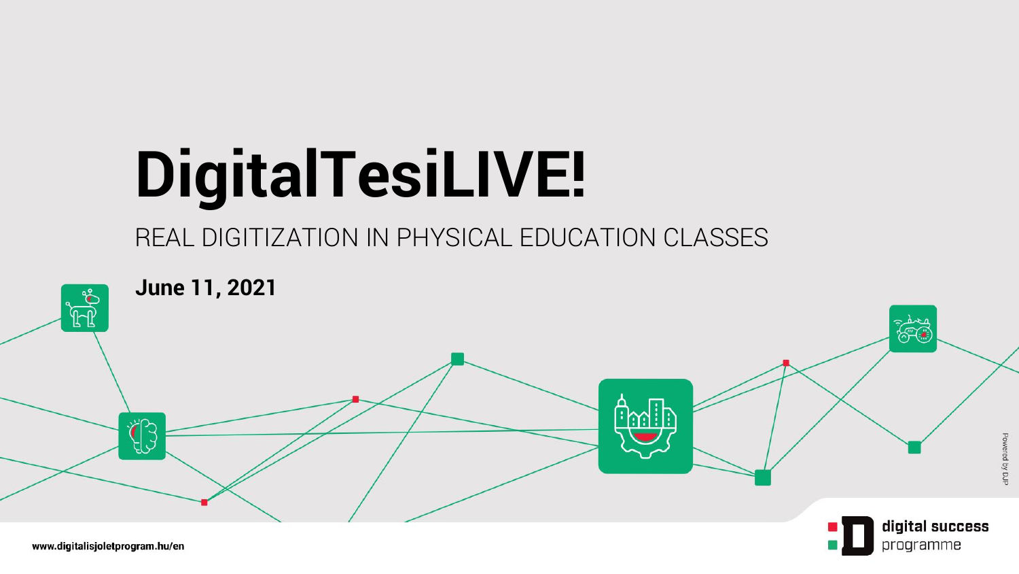# **DigitalTesiLIVE!**

#### REAL DIGITIZATION IN PHYSICAL EDUCATION CLASSES

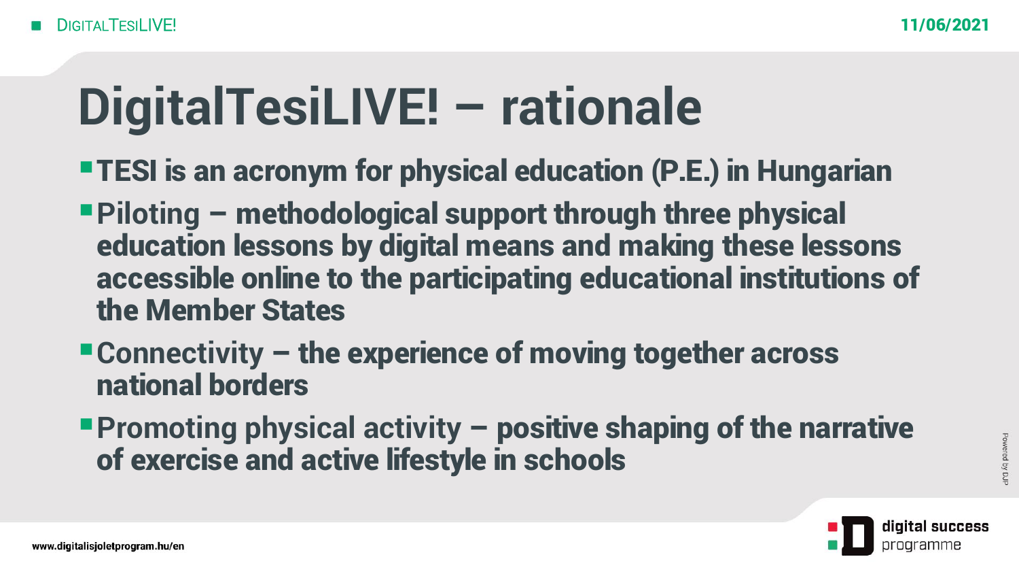## **DigitalTesiLIVE! – rationale**

- **•TESI is an acronym for physical education (P.E.) in Hungarian**
- ▪**Piloting** methodological support through three physical education lessons by digital means and making these lessons accessible online to the participating educational institutions of the Member States
- Connectivity the experience of moving together across national borders
- **Promoting physical activity positive shaping of the narrative** of exercise and active lifestyle in schools

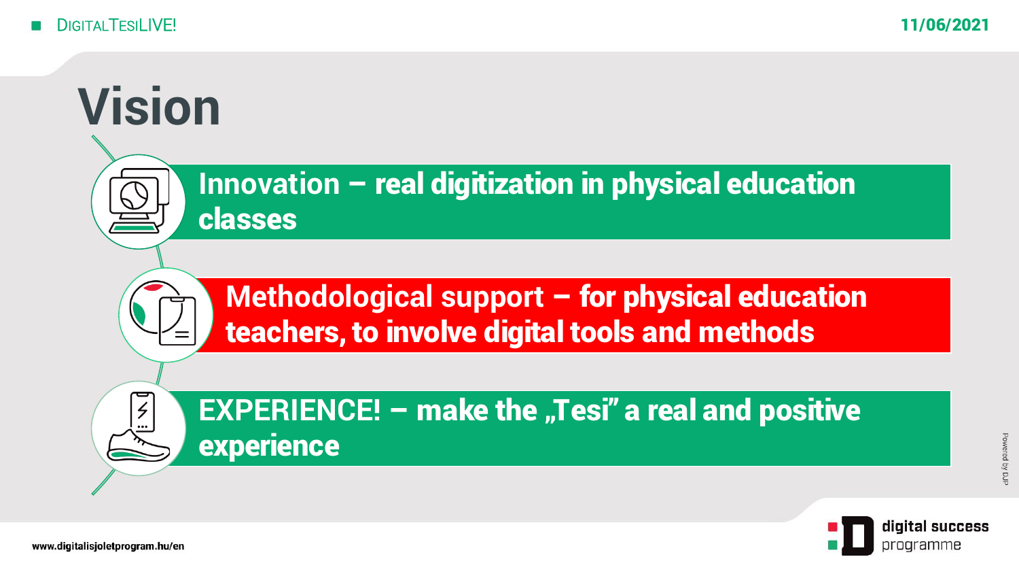



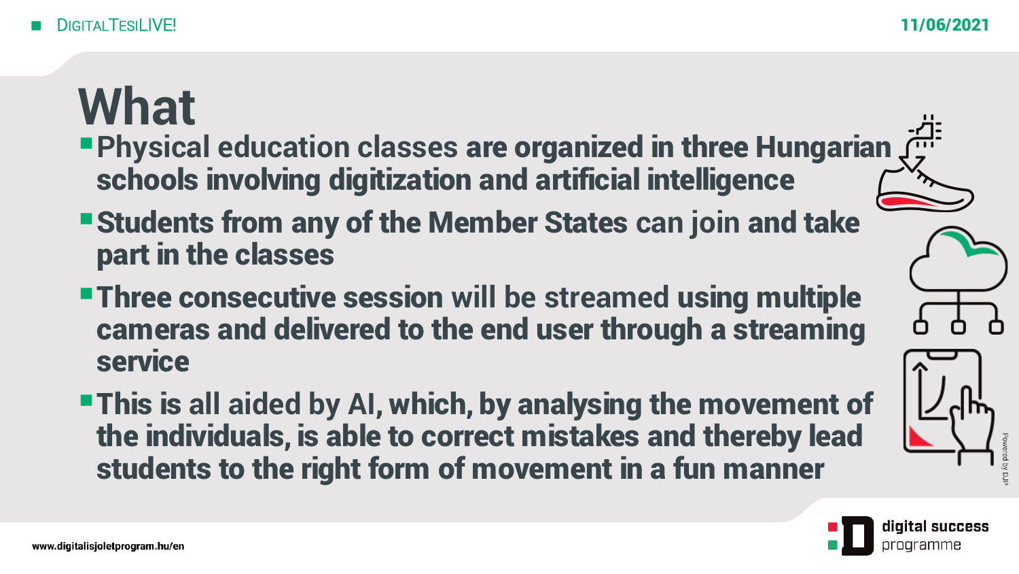#### **What**

- **Physical education classes are organized in three Hungarian** schools involving digitization and artificial intelligence
- ▪Students from any of the Member States **can join** and take part in the classes
- **Three consecutive session will be streamed using multiple** cameras and delivered to the end user through a streaming service
- **This is all aided by AI, which, by analysing the movement of** the individuals, is able to correct mistakes and thereby lead students to the right form of movement in a fun manner





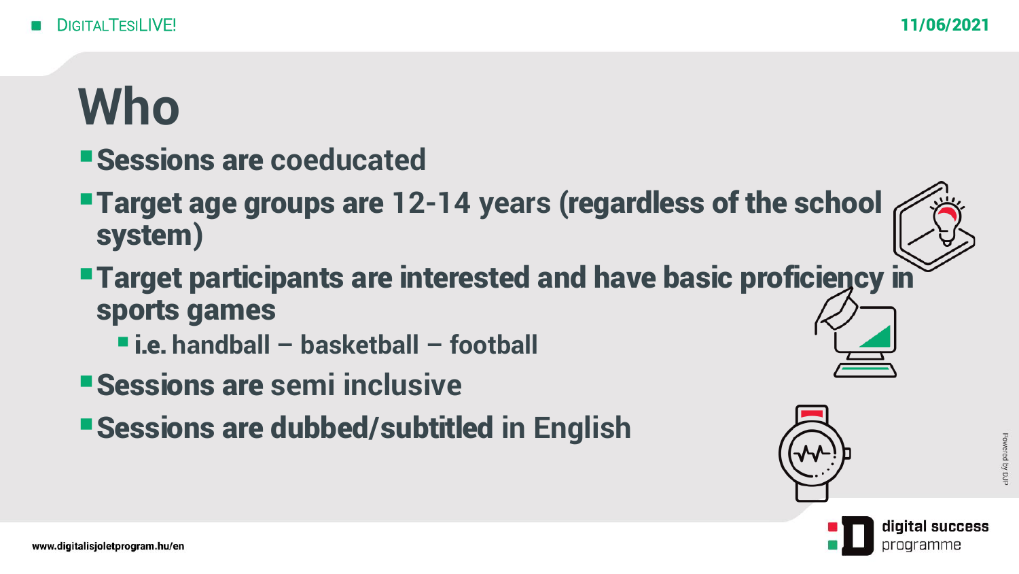#### **Who**

- ▪Sessions are **coeducated**
- **Target age groups are 12-14 years (regardless of the school** system)
- **Target participants are interested and have basic proficiency in** sports games
	- i.e. **handball – basketball – football**
- ▪Sessions are **semi inclusive**
- ▪Sessions are dubbed/subtitled **in English**



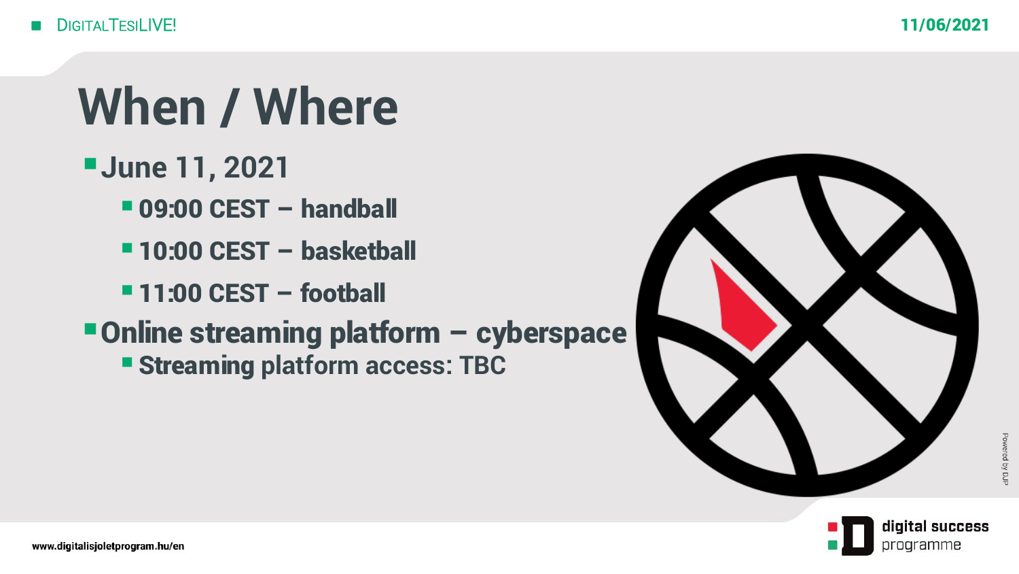### **When / Where**

- ▪**June 11, 2021**
	- $-$  **09:00 CEST handball**
	- $-10:00$  **CEST basketball**
	- $-11:00$  **CEST football**
- Online streaming platform cyberspace ▪Streaming **platform access: TBC**



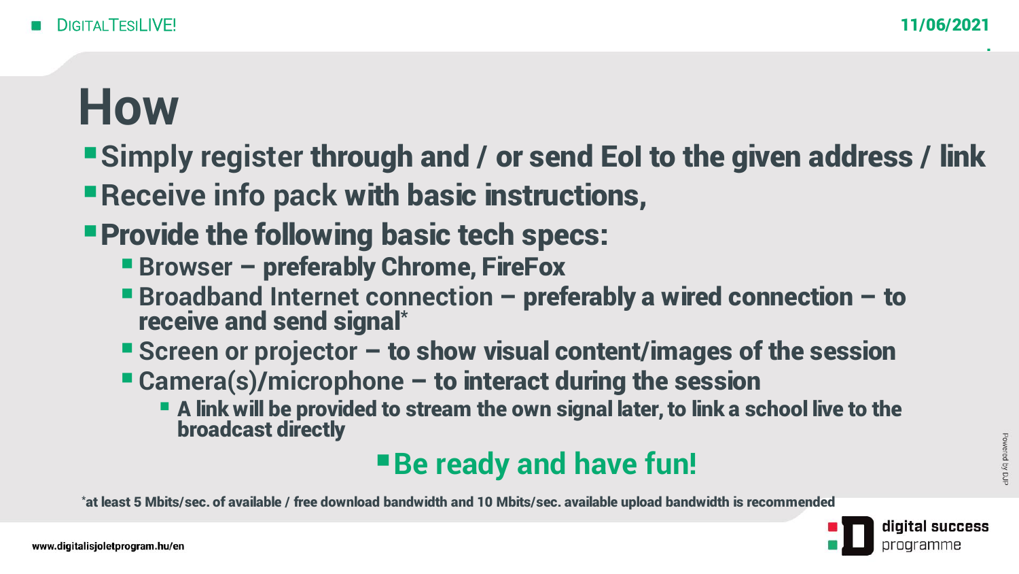.

#### **How**

- **Examply register through and / or send EoI to the given address / link**
- **Exercise 12 Info pack with basic instructions,**
- **Provide the following basic tech specs:** 
	- **Exercise 1 Browser preferably Chrome, FireFox**
	- Broadband Internet connection preferably a wired connection to receive and send signal\*
	- Screen or projector to show visual content/images of the session
	- Camera(s)/microphone to interact during the session
		- **Example 2 A link will be provided to stream the own signal later, to link a school live to the** broadcast directly

#### **Be ready and have fun!**

\*at least 5 Mbits/sec. of available / free download bandwidth and 10 Mbits/sec. available upload bandwidth is recommended